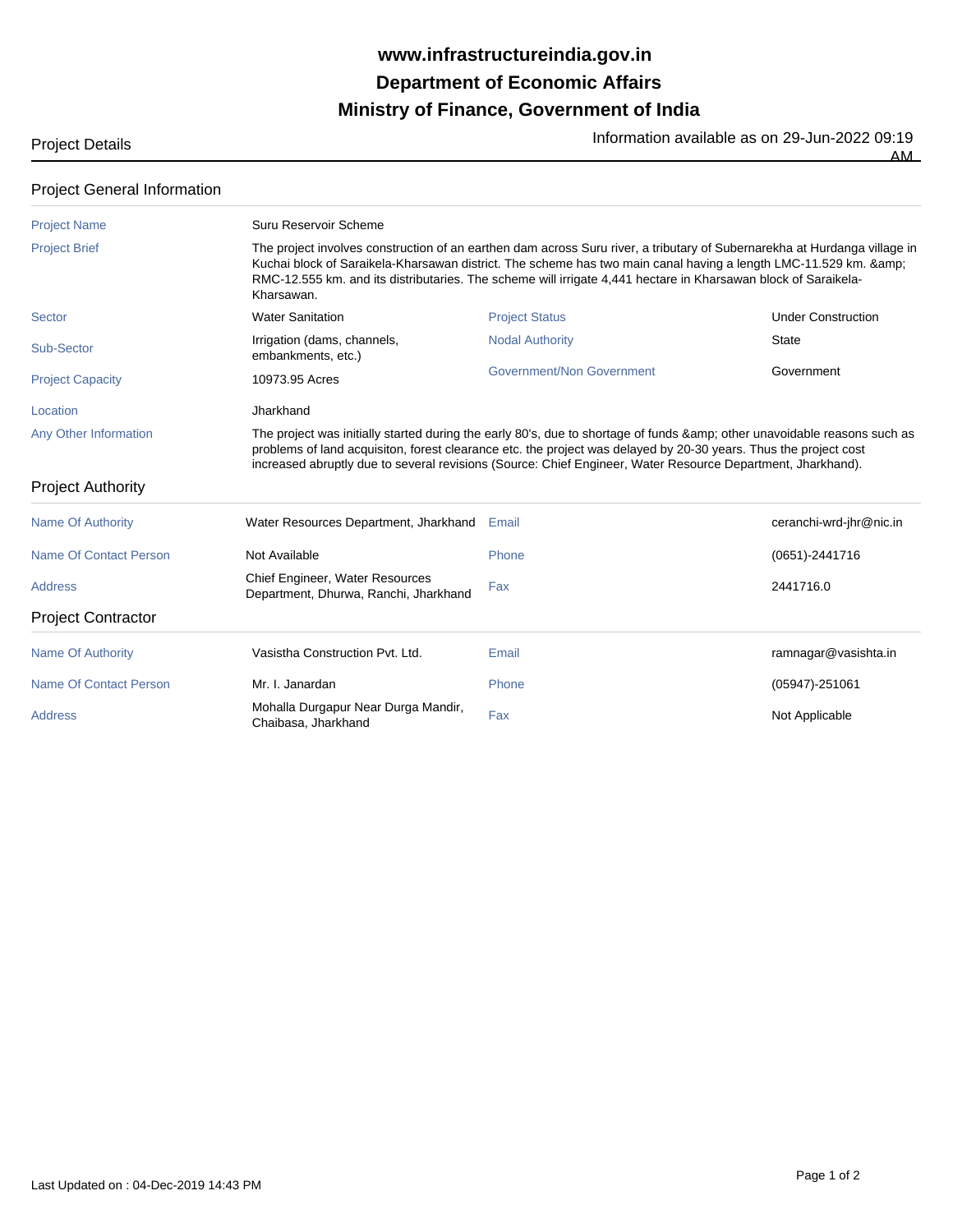## **Ministry of Finance, Government of India Department of Economic Affairs www.infrastructureindia.gov.in**

Project Details **Information available as on 29-Jun-2022** 09:19

 $\overline{AM}$ 

## Project General Information

| <b>Project Name</b>       | Suru Reservoir Scheme                                                                                                                                                                                                                                                                                                                                                     |                           |                           |  |  |
|---------------------------|---------------------------------------------------------------------------------------------------------------------------------------------------------------------------------------------------------------------------------------------------------------------------------------------------------------------------------------------------------------------------|---------------------------|---------------------------|--|--|
| <b>Project Brief</b>      | The project involves construction of an earthen dam across Suru river, a tributary of Subernarekha at Hurdanga village in<br>Kuchai block of Saraikela-Kharsawan district. The scheme has two main canal having a length LMC-11.529 km. &<br>RMC-12.555 km. and its distributaries. The scheme will irrigate 4,441 hectare in Kharsawan block of Saraikela-<br>Kharsawan. |                           |                           |  |  |
| Sector                    | <b>Water Sanitation</b>                                                                                                                                                                                                                                                                                                                                                   | <b>Project Status</b>     | <b>Under Construction</b> |  |  |
| Sub-Sector                | Irrigation (dams, channels,<br>embankments, etc.)                                                                                                                                                                                                                                                                                                                         | <b>Nodal Authority</b>    | <b>State</b>              |  |  |
| <b>Project Capacity</b>   | 10973.95 Acres                                                                                                                                                                                                                                                                                                                                                            | Government/Non Government | Government                |  |  |
| Location                  | Jharkhand                                                                                                                                                                                                                                                                                                                                                                 |                           |                           |  |  |
| Any Other Information     | The project was initially started during the early 80's, due to shortage of funds & other unavoidable reasons such as<br>problems of land acquisiton, forest clearance etc. the project was delayed by 20-30 years. Thus the project cost<br>increased abruptly due to several revisions (Source: Chief Engineer, Water Resource Department, Jharkhand).                  |                           |                           |  |  |
| <b>Project Authority</b>  |                                                                                                                                                                                                                                                                                                                                                                           |                           |                           |  |  |
| <b>Name Of Authority</b>  | Water Resources Department, Jharkhand                                                                                                                                                                                                                                                                                                                                     | Email                     | ceranchi-wrd-jhr@nic.in   |  |  |
| Name Of Contact Person    | Not Available                                                                                                                                                                                                                                                                                                                                                             | Phone                     | $(0651) - 2441716$        |  |  |
| <b>Address</b>            | Chief Engineer, Water Resources<br>Department, Dhurwa, Ranchi, Jharkhand                                                                                                                                                                                                                                                                                                  | Fax                       | 2441716.0                 |  |  |
| <b>Project Contractor</b> |                                                                                                                                                                                                                                                                                                                                                                           |                           |                           |  |  |
| Name Of Authority         | Vasistha Construction Pvt. Ltd.                                                                                                                                                                                                                                                                                                                                           | Email                     | ramnagar@vasishta.in      |  |  |
| Name Of Contact Person    | Mr. I. Janardan                                                                                                                                                                                                                                                                                                                                                           | Phone                     | (05947)-251061            |  |  |
| <b>Address</b>            | Mohalla Durgapur Near Durga Mandir,<br>Chaibasa, Jharkhand                                                                                                                                                                                                                                                                                                                | Fax                       | Not Applicable            |  |  |